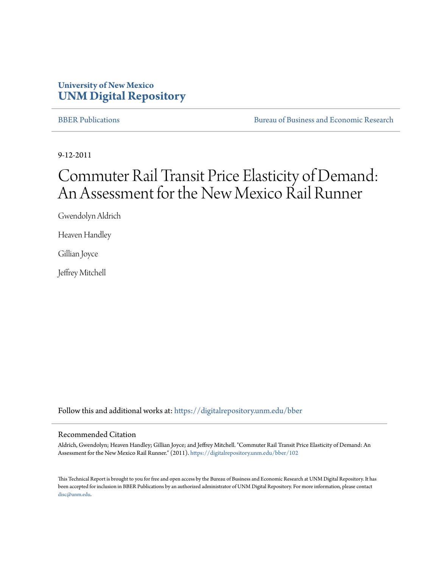### **University of New Mexico [UNM Digital Repository](https://digitalrepository.unm.edu?utm_source=digitalrepository.unm.edu%2Fbber%2F102&utm_medium=PDF&utm_campaign=PDFCoverPages)**

[BBER Publications](https://digitalrepository.unm.edu/bber?utm_source=digitalrepository.unm.edu%2Fbber%2F102&utm_medium=PDF&utm_campaign=PDFCoverPages) **BUREAU SERVICES** [Bureau of Business and Economic Research](https://digitalrepository.unm.edu/business_economic_research?utm_source=digitalrepository.unm.edu%2Fbber%2F102&utm_medium=PDF&utm_campaign=PDFCoverPages)

9-12-2011

# Commuter Rail Transit Price Elasticity of Demand: An Assessment for the New Mexico Rail Runner

Gwendolyn Aldrich

Heaven Handley

Gillian Joyce

Jeffrey Mitchell

Follow this and additional works at: [https://digitalrepository.unm.edu/bber](https://digitalrepository.unm.edu/bber?utm_source=digitalrepository.unm.edu%2Fbber%2F102&utm_medium=PDF&utm_campaign=PDFCoverPages)

#### Recommended Citation

Aldrich, Gwendolyn; Heaven Handley; Gillian Joyce; and Jeffrey Mitchell. "Commuter Rail Transit Price Elasticity of Demand: An Assessment for the New Mexico Rail Runner." (2011). [https://digitalrepository.unm.edu/bber/102](https://digitalrepository.unm.edu/bber/102?utm_source=digitalrepository.unm.edu%2Fbber%2F102&utm_medium=PDF&utm_campaign=PDFCoverPages)

This Technical Report is brought to you for free and open access by the Bureau of Business and Economic Research at UNM Digital Repository. It has been accepted for inclusion in BBER Publications by an authorized administrator of UNM Digital Repository. For more information, please contact [disc@unm.edu](mailto:disc@unm.edu).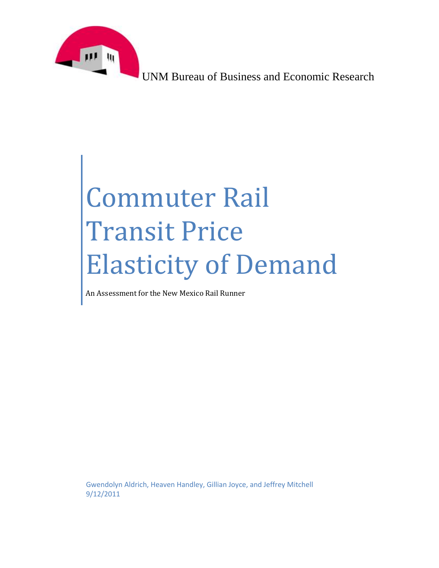

UNM Bureau of Business and Economic Research

# Commuter Rail Transit Price Elasticity of Demand

An Assessment for the New Mexico Rail Runner

<span id="page-1-0"></span>Gwendolyn Aldrich, Heaven Handley, Gillian Joyce, and Jeffrey Mitchell 9/12/2011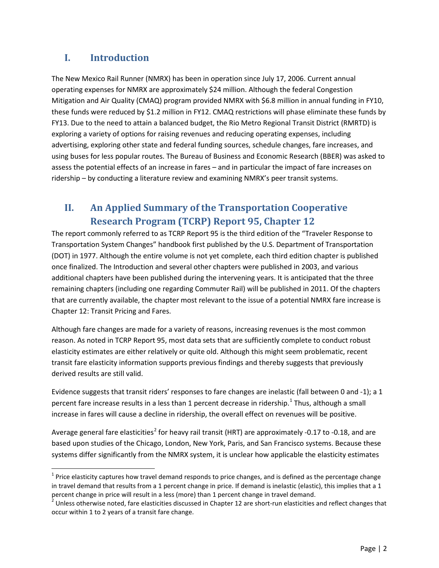# **I. Introduction**

The New Mexico Rail Runner (NMRX) has been in operation since July 17, 2006. Current annual operating expenses for NMRX are approximately \$24 million. Although the federal Congestion Mitigation and Air Quality (CMAQ) program provided NMRX with \$6.8 million in annual funding in FY10, these funds were reduced by \$1.2 million in FY12. CMAQ restrictions will phase eliminate these funds by FY13. Due to the need to attain a balanced budget, the Rio Metro Regional Transit District (RMRTD) is exploring a variety of options for raising revenues and reducing operating expenses, including advertising, exploring other state and federal funding sources, schedule changes, fare increases, and using buses for less popular routes. The Bureau of Business and Economic Research (BBER) was asked to assess the potential effects of an increase in fares – and in particular the impact of fare increases on ridership – by conducting a literature review and examining NMRX's peer transit systems.

# **II. An Applied Summary of the Transportation Cooperative Research Program (TCRP) Report 95, Chapter 12**

The report commonly referred to as TCRP Report 95 is the third edition of the "Traveler Response to Transportation System Changes" handbook first published by the U.S. Department of Transportation (DOT) in 1977. Although the entire volume is not yet complete, each third edition chapter is published once finalized. The Introduction and several other chapters were published in 2003, and various additional chapters have been published during the intervening years. It is anticipated that the three remaining chapters (including one regarding Commuter Rail) will be published in 2011. Of the chapters that are currently available, the chapter most relevant to the issue of a potential NMRX fare increase is Chapter 12: Transit Pricing and Fares.

Although fare changes are made for a variety of reasons, increasing revenues is the most common reason. As noted in TCRP Report 95, most data sets that are sufficiently complete to conduct robust elasticity estimates are either relatively or quite old. Although this might seem problematic, recent transit fare elasticity information supports previous findings and thereby suggests that previously derived results are still valid.

Evidence suggests that transit riders' responses to fare changes are inelastic (fall between 0 and -1); a 1 percent fare increase results in a less than [1](#page-1-0) percent decrease in ridership.<sup>1</sup> Thus, although a small increase in fares will cause a decline in ridership, the overall effect on revenues will be positive.

Average general fare elasticities<sup>[2](#page-2-0)</sup> for heavy rail transit (HRT) are approximately -0.17 to -0.18, and are based upon studies of the Chicago, London, New York, Paris, and San Francisco systems. Because these systems differ significantly from the NMRX system, it is unclear how applicable the elasticity estimates

 $1$  Price elasticity captures how travel demand responds to price changes, and is defined as the percentage change in travel demand that results from a 1 percent change in price. If demand is inelastic (elastic), this implies that a 1

<span id="page-2-1"></span><span id="page-2-0"></span>percent change in price will result in a less (more) than 1 percent change in travel demand.<br><sup>2</sup> Unless otherwise noted, fare elasticities discussed in Chapter 12 are short-run elasticities and reflect changes that occur within 1 to 2 years of a transit fare change.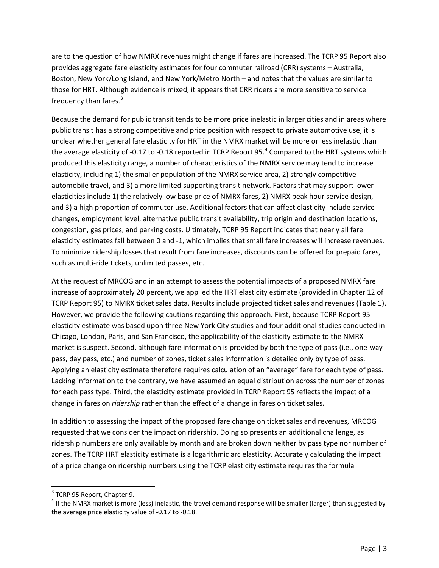<span id="page-3-1"></span>are to the question of how NMRX revenues might change if fares are increased. The TCRP 95 Report also provides aggregate fare elasticity estimates for four commuter railroad (CRR) systems – Australia, Boston, New York/Long Island, and New York/Metro North – and notes that the values are similar to those for HRT. Although evidence is mixed, it appears that CRR riders are more sensitive to service frequency than fares.<sup>[3](#page-2-1)</sup>

Because the demand for public transit tends to be more price inelastic in larger cities and in areas where public transit has a strong competitive and price position with respect to private automotive use, it is unclear whether general fare elasticity for HRT in the NMRX market will be more or less inelastic than the average elasticity of -0.17 to -0.18 reported in TCRP Report 95.<sup>[4](#page-3-0)</sup> Compared to the HRT systems which produced this elasticity range, a number of characteristics of the NMRX service may tend to increase elasticity, including 1) the smaller population of the NMRX service area, 2) strongly competitive automobile travel, and 3) a more limited supporting transit network. Factors that may support lower elasticities include 1) the relatively low base price of NMRX fares, 2) NMRX peak hour service design, and 3) a high proportion of commuter use. Additional factors that can affect elasticity include service changes, employment level, alternative public transit availability, trip origin and destination locations, congestion, gas prices, and parking costs. Ultimately, TCRP 95 Report indicates that nearly all fare elasticity estimates fall between 0 and -1, which implies that small fare increases will increase revenues. To minimize ridership losses that result from fare increases, discounts can be offered for prepaid fares, such as multi-ride tickets, unlimited passes, etc.

At the request of MRCOG and in an attempt to assess the potential impacts of a proposed NMRX fare increase of approximately 20 percent, we applied the HRT elasticity estimate (provided in Chapter 12 of TCRP Report 95) to NMRX ticket sales data. Results include projected ticket sales and revenues [\(Table 1\)](#page-5-0). However, we provide the following cautions regarding this approach. First, because TCRP Report 95 elasticity estimate was based upon three New York City studies and four additional studies conducted in Chicago, London, Paris, and San Francisco, the applicability of the elasticity estimate to the NMRX market is suspect. Second, although fare information is provided by both the type of pass (i.e., one-way pass, day pass, etc.) and number of zones, ticket sales information is detailed only by type of pass. Applying an elasticity estimate therefore requires calculation of an "average" fare for each type of pass. Lacking information to the contrary, we have assumed an equal distribution across the number of zones for each pass type. Third, the elasticity estimate provided in TCRP Report 95 reflects the impact of a change in fares on *ridership* rather than the effect of a change in fares on ticket sales.

In addition to assessing the impact of the proposed fare change on ticket sales and revenues, MRCOG requested that we consider the impact on ridership. Doing so presents an additional challenge, as ridership numbers are only available by month and are broken down neither by pass type nor number of zones. The TCRP HRT elasticity estimate is a logarithmic arc elasticity. Accurately calculating the impact of a price change on ridership numbers using the TCRP elasticity estimate requires the formula

<span id="page-3-0"></span><sup>&</sup>lt;sup>3</sup> TCRP 95 Report, Chapter 9.<br><sup>4</sup> If the NMRX market is more (less) inelastic, the travel demand response will be smaller (larger) than suggested by the average price elasticity value of -0.17 to -0.18.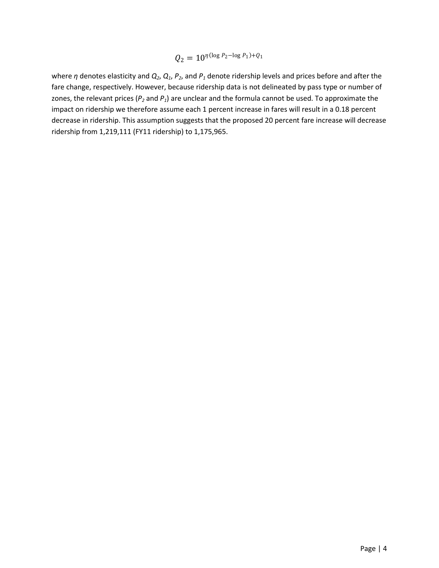$$
Q_2 = 10^{\eta(\log P_2 - \log P_1) + Q_1}
$$

where *η* denotes elasticity and  $Q_2$ ,  $Q_1$ ,  $P_2$ , and  $P_1$  denote ridership levels and prices before and after the fare change, respectively. However, because ridership data is not delineated by pass type or number of zones, the relevant prices (*P2* and *P1*) are unclear and the formula cannot be used. To approximate the impact on ridership we therefore assume each 1 percent increase in fares will result in a 0.18 percent decrease in ridership. This assumption suggests that the proposed 20 percent fare increase will decrease ridership from 1,219,111 (FY11 ridership) to 1,175,965.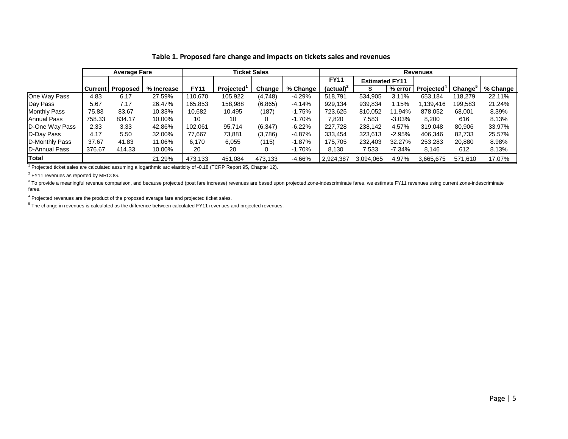|                       | <b>Average Fare</b> |                           |            | Ticket Sales |           |          | <b>Revenues</b> |              |                       |           |                        |                     |          |
|-----------------------|---------------------|---------------------------|------------|--------------|-----------|----------|-----------------|--------------|-----------------------|-----------|------------------------|---------------------|----------|
|                       |                     |                           |            |              |           |          |                 | <b>FY11</b>  | <b>Estimated FY11</b> |           |                        |                     |          |
|                       |                     | <b>Current   Proposed</b> | % Increase | <b>FY11</b>  | Projected | Change   | % Change        | $(actual)^2$ |                       | $%$ error | Projected <sup>+</sup> | Change <sup>3</sup> | % Change |
| One Way Pass          | 4.83                | 6.17                      | 27.59%     | 110.670      | 105,922   | (4,748)  | $-4.29%$        | 518,791      | 534.905               | 3.11%     | 653.184                | 118.279             | 22.11%   |
| Day Pass              | 5.67                | 7.17                      | 26.47%     | 165,853      | 158,988   | (6,865)  | -4.14%          | 929,134      | 939,834               | 1.15%     | 1,139,416              | 199,583             | 21.24%   |
| <b>Monthly Pass</b>   | 75.83               | 83.67                     | 10.33%     | 10.682       | 10,495    | (187)    | $-1.75%$        | 723,625      | 810,052               | 11.94%    | 878,052                | 68,001              | 8.39%    |
| Annual Pass           | 758.33              | 834.17                    | 10.00%     | 10           | 10        | 0        | $-1.70\%$       | 7,820        | 7,583                 | $-3.03%$  | 8,200                  | 616                 | 8.13%    |
| D-One Way Pass        | 2.33                | 3.33                      | 42.86%     | 102.061      | 95.714    | (6, 347) | $-6.22\%$       | 227,728      | 238.142               | 4.57%     | 319.048                | 80,906              | 33.97%   |
| D-Day Pass            | 4.17                | 5.50                      | 32.00%     | 77.667       | 73,881    | (3,786)  | -4.87%          | 333,454      | 323,613               | $-2.95%$  | 406.346                | 82.733              | 25.57%   |
| D-Monthly Pass        | 37.67               | 41.83                     | 11.06%     | 6.170        | 6,055     | (115)    | $-1.87\%$       | 175,705      | 232,403               | 32.27%    | 253,283                | 20,880              | 8.98%    |
| <b>ID-Annual Pass</b> | 376.67              | 414.33                    | 10.00%     | 20           | 20        | 0        | -1.70%          | 8,130        | 7,533                 | $-7.34\%$ | 8,146                  | 612                 | 8.13%    |
| Total                 |                     |                           | 21.29%     | 473.133      | 451,084   | 473,133  | -4.66%          | 2,924,387    | 3.094.065             | 4.97%     | 3,665,675              | 571,610             | 17.07%   |

#### **Table 1. Proposed fare change and impacts on tickets sales and revenues**

<sup>1</sup> Projected ticket sales are calculated assuming a logarthmic arc elasticity of -0.18 (TCRP Report 95, Chapter 12).

 $2$  FY11 revenues as reported by MRCOG.

<span id="page-5-0"></span> $3$  To provide a meaningful revenue comparison, and because projected (post fare increase) revenues are based upon projected zone-indescriminate fares, we estimate FY11 revenues using current zone-indescriminate fares.

<sup>4</sup> Projected revenues are the product of the proposed average fare and projected ticket sales.

 $5$  The change in revenues is calculated as the difference between calculated FY11 revenues and projected revenues.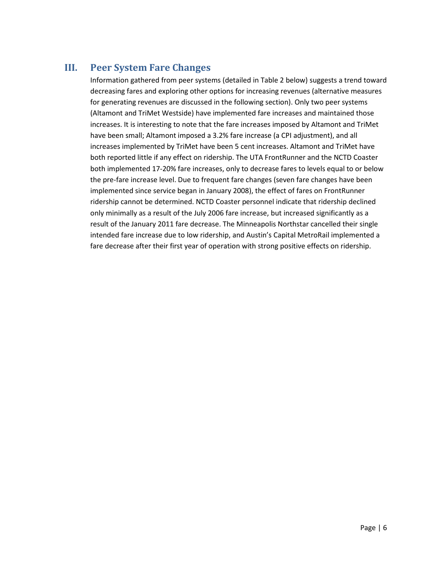# **III. Peer System Fare Changes**

Information gathered from peer systems (detailed in Table 2 below) suggests a trend toward decreasing fares and exploring other options for increasing revenues (alternative measures for generating revenues are discussed in the following section). Only two peer systems (Altamont and TriMet Westside) have implemented fare increases and maintained those increases. It is interesting to note that the fare increases imposed by Altamont and TriMet have been small; Altamont imposed a 3.2% fare increase (a CPI adjustment), and all increases implemented by TriMet have been 5 cent increases. Altamont and TriMet have both reported little if any effect on ridership. The UTA FrontRunner and the NCTD Coaster both implemented 17-20% fare increases, only to decrease fares to levels equal to or below the pre-fare increase level. Due to frequent fare changes (seven fare changes have been implemented since service began in January 2008), the effect of fares on FrontRunner ridership cannot be determined. NCTD Coaster personnel indicate that ridership declined only minimally as a result of the July 2006 fare increase, but increased significantly as a result of the January 2011 fare decrease. The Minneapolis Northstar cancelled their single intended fare increase due to low ridership, and Austin's Capital MetroRail implemented a fare decrease after their first year of operation with strong positive effects on ridership.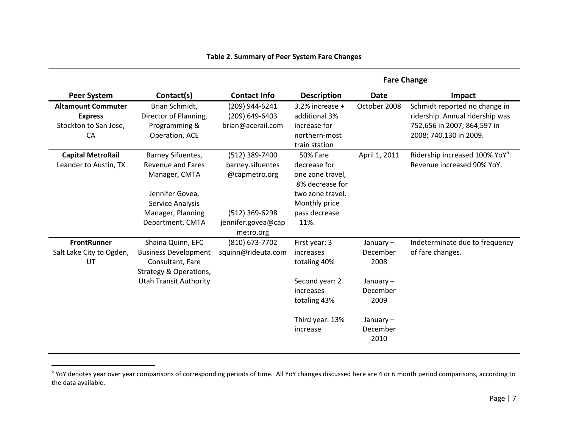|                                                                            |                                                                                                                                                |                                                                                                          | <b>Fare Change</b>                                                                                                                   |                                                                                                       |                                                                                                                           |  |  |
|----------------------------------------------------------------------------|------------------------------------------------------------------------------------------------------------------------------------------------|----------------------------------------------------------------------------------------------------------|--------------------------------------------------------------------------------------------------------------------------------------|-------------------------------------------------------------------------------------------------------|---------------------------------------------------------------------------------------------------------------------------|--|--|
| Peer System                                                                | Contact(s)                                                                                                                                     | <b>Contact Info</b>                                                                                      | <b>Description</b>                                                                                                                   | <b>Date</b>                                                                                           | Impact                                                                                                                    |  |  |
| <b>Altamount Commuter</b><br><b>Express</b><br>Stockton to San Jose,<br>CA | Brian Schmidt,<br>Director of Planning,<br>Programming &<br>Operation, ACE                                                                     | (209) 944-6241<br>(209) 649-6403<br>brian@acerail.com                                                    | 3.2% increase +<br>additional 3%<br>increase for<br>northern-most<br>train station                                                   | October 2008                                                                                          | Schmidt reported no change in<br>ridership. Annual ridership was<br>752,656 in 2007; 864,597 in<br>2008; 740,130 in 2009. |  |  |
| <b>Capital MetroRail</b><br>Leander to Austin, TX                          | Barney Sifuentes,<br><b>Revenue and Fares</b><br>Manager, CMTA<br>Jennifer Govea,<br>Service Analysis<br>Manager, Planning<br>Department, CMTA | (512) 389-7400<br>barney.sifuentes<br>@capmetro.org<br>(512) 369-6298<br>jennifer.govea@cap<br>metro.org | <b>50% Fare</b><br>decrease for<br>one zone travel,<br>8% decrease for<br>two zone travel.<br>Monthly price<br>pass decrease<br>11%. | April 1, 2011                                                                                         | Ridership increased 100% YoY <sup>5</sup> .<br>Revenue increased 90% YoY.                                                 |  |  |
| <b>FrontRunner</b><br>Salt Lake City to Ogden,<br>UT                       | Shaina Quinn, EFC<br><b>Business Development</b><br>Consultant, Fare<br>Strategy & Operations,<br><b>Utah Transit Authority</b>                | (810) 673-7702<br>squinn@rideuta.com                                                                     | First year: 3<br>increases<br>totaling 40%<br>Second year: 2<br>increases<br>totaling 43%<br>Third year: 13%<br>increase             | January $-$<br>December<br>2008<br>January $-$<br>December<br>2009<br>January $-$<br>December<br>2010 | Indeterminate due to frequency<br>of fare changes.                                                                        |  |  |

#### <span id="page-7-0"></span>**Table 2. Summary of Peer System Fare Changes**

<sup>5&</sup>lt;br>5 YoY denotes year over year comparisons of corresponding periods of time. All YoY changes discussed here are 4 or 6 month period comparisons, according to the data available.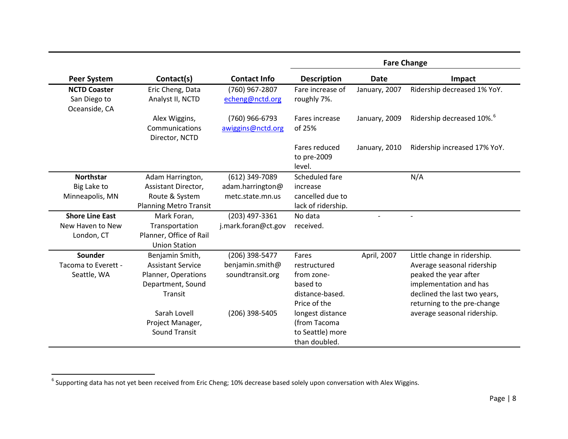|                                                      |                                                                                                    |                                                       | <b>Fare Change</b>                                                                 |               |                                                                                                                                                                             |  |  |
|------------------------------------------------------|----------------------------------------------------------------------------------------------------|-------------------------------------------------------|------------------------------------------------------------------------------------|---------------|-----------------------------------------------------------------------------------------------------------------------------------------------------------------------------|--|--|
| <b>Peer System</b>                                   | Contact(s)                                                                                         | <b>Contact Info</b>                                   | <b>Description</b>                                                                 | <b>Date</b>   | Impact                                                                                                                                                                      |  |  |
| <b>NCTD Coaster</b><br>San Diego to<br>Oceanside, CA | Eric Cheng, Data<br>Analyst II, NCTD                                                               | (760) 967-2807<br>echeng@nctd.org                     | Fare increase of<br>roughly 7%.                                                    | January, 2007 | Ridership decreased 1% YoY.                                                                                                                                                 |  |  |
|                                                      | Alex Wiggins,<br>Communications<br>Director, NCTD                                                  | (760) 966-6793<br>awiggins@nctd.org                   | Fares increase<br>of 25%                                                           | January, 2009 | Ridership decreased 10%. <sup>6</sup>                                                                                                                                       |  |  |
|                                                      |                                                                                                    |                                                       | Fares reduced<br>to pre-2009<br>level.                                             | January, 2010 | Ridership increased 17% YoY.                                                                                                                                                |  |  |
| <b>Northstar</b>                                     | Adam Harrington,                                                                                   | (612) 349-7089                                        | Scheduled fare                                                                     |               | N/A                                                                                                                                                                         |  |  |
| Big Lake to                                          | Assistant Director,                                                                                | adam.harrington@                                      | increase                                                                           |               |                                                                                                                                                                             |  |  |
| Minneapolis, MN                                      | Route & System<br><b>Planning Metro Transit</b>                                                    | metc.state.mn.us                                      | cancelled due to<br>lack of ridership.                                             |               |                                                                                                                                                                             |  |  |
| <b>Shore Line East</b>                               | Mark Foran,                                                                                        | (203) 497-3361                                        | No data                                                                            |               |                                                                                                                                                                             |  |  |
| New Haven to New<br>London, CT                       | Transportation<br>Planner, Office of Rail<br><b>Union Station</b>                                  | j.mark.foran@ct.gov                                   | received.                                                                          |               |                                                                                                                                                                             |  |  |
| Sounder<br>Tacoma to Everett -<br>Seattle, WA        | Benjamin Smith,<br><b>Assistant Service</b><br>Planner, Operations<br>Department, Sound<br>Transit | (206) 398-5477<br>benjamin.smith@<br>soundtransit.org | Fares<br>restructured<br>from zone-<br>based to<br>distance-based.<br>Price of the | April, 2007   | Little change in ridership.<br>Average seasonal ridership<br>peaked the year after<br>implementation and has<br>declined the last two years,<br>returning to the pre-change |  |  |
|                                                      | Sarah Lovell<br>Project Manager,<br><b>Sound Transit</b>                                           | (206) 398-5405                                        | longest distance<br>(from Tacoma<br>to Seattle) more<br>than doubled.              |               | average seasonal ridership.                                                                                                                                                 |  |  |

<span id="page-8-0"></span> $6$  Supporting data has not yet been received from Eric Cheng; 10% decrease based solely upon conversation with Alex Wiggins.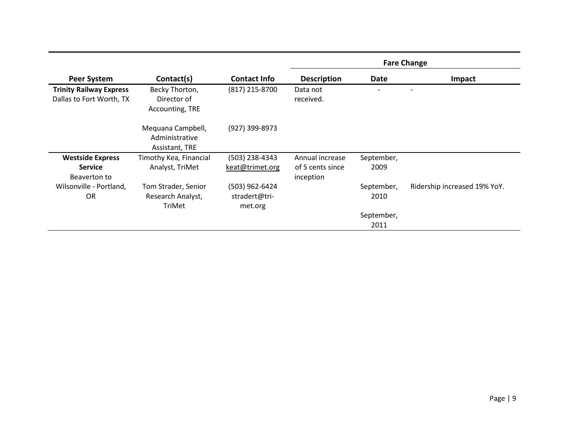|                                                            |                                                       |                                            | <b>Fare Change</b>            |                    |                              |  |  |  |
|------------------------------------------------------------|-------------------------------------------------------|--------------------------------------------|-------------------------------|--------------------|------------------------------|--|--|--|
| <b>Peer System</b>                                         | Contact(s)                                            | <b>Contact Info</b>                        | <b>Description</b>            | Date               | Impact                       |  |  |  |
| <b>Trinity Railway Express</b><br>Dallas to Fort Worth, TX | Becky Thorton,<br>Director of<br>Accounting, TRE      | (817) 215-8700                             | Data not<br>received.         |                    |                              |  |  |  |
|                                                            | Mequana Campbell,<br>Administrative<br>Assistant, TRE | (927) 399-8973                             |                               |                    |                              |  |  |  |
| <b>Westside Express</b>                                    | Timothy Kea, Financial                                | (503) 238-4343                             | Annual increase               | September,         |                              |  |  |  |
| <b>Service</b><br>Beaverton to                             | Analyst, TriMet                                       | keat@trimet.org                            | of 5 cents since<br>inception | 2009               |                              |  |  |  |
| Wilsonville - Portland,<br><b>OR</b>                       | Tom Strader, Senior<br>Research Analyst,<br>TriMet    | (503) 962-6424<br>stradert@tri-<br>met.org |                               | September,<br>2010 | Ridership increased 19% YoY. |  |  |  |
|                                                            |                                                       |                                            |                               | September,<br>2011 |                              |  |  |  |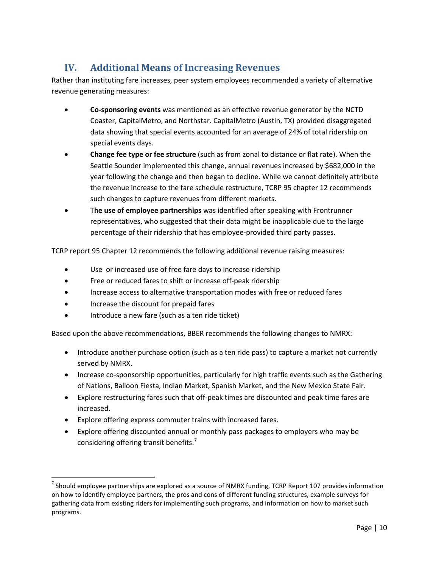# **IV. Additional Means of Increasing Revenues**

Rather than instituting fare increases, peer system employees recommended a variety of alternative revenue generating measures:

- **Co-sponsoring events** was mentioned as an effective revenue generator by the NCTD Coaster, CapitalMetro, and Northstar. CapitalMetro (Austin, TX) provided disaggregated data showing that special events accounted for an average of 24% of total ridership on special events days.
- **Change fee type or fee structure** (such as from zonal to distance or flat rate). When the Seattle Sounder implemented this change, annual revenues increased by \$682,000 in the year following the change and then began to decline. While we cannot definitely attribute the revenue increase to the fare schedule restructure, TCRP 95 chapter 12 recommends such changes to capture revenues from different markets.
- T**he use of employee partnerships** was identified after speaking with Frontrunner representatives, who suggested that their data might be inapplicable due to the large percentage of their ridership that has employee-provided third party passes.

TCRP report 95 Chapter 12 recommends the following additional revenue raising measures:

- Use or increased use of free fare days to increase ridership
- Free or reduced fares to shift or increase off-peak ridership
- Increase access to alternative transportation modes with free or reduced fares
- Increase the discount for prepaid fares
- Introduce a new fare (such as a ten ride ticket)

Based upon the above recommendations, BBER recommends the following changes to NMRX:

- Introduce another purchase option (such as a ten ride pass) to capture a market not currently served by NMRX.
- Increase co-sponsorship opportunities, particularly for high traffic events such as the Gathering of Nations, Balloon Fiesta, Indian Market, Spanish Market, and the New Mexico State Fair.
- Explore restructuring fares such that off-peak times are discounted and peak time fares are increased.
- Explore offering express commuter trains with increased fares.
- Explore offering discounted annual or monthly pass packages to employers who may be considering offering transit benefits.<sup>[7](#page-8-0)</sup>

<span id="page-10-0"></span> $<sup>7</sup>$  Should employee partnerships are explored as a source of NMRX funding, TCRP Report 107 provides information</sup> on how to identify employee partners, the pros and cons of different funding structures, example surveys for gathering data from existing riders for implementing such programs, and information on how to market such programs.